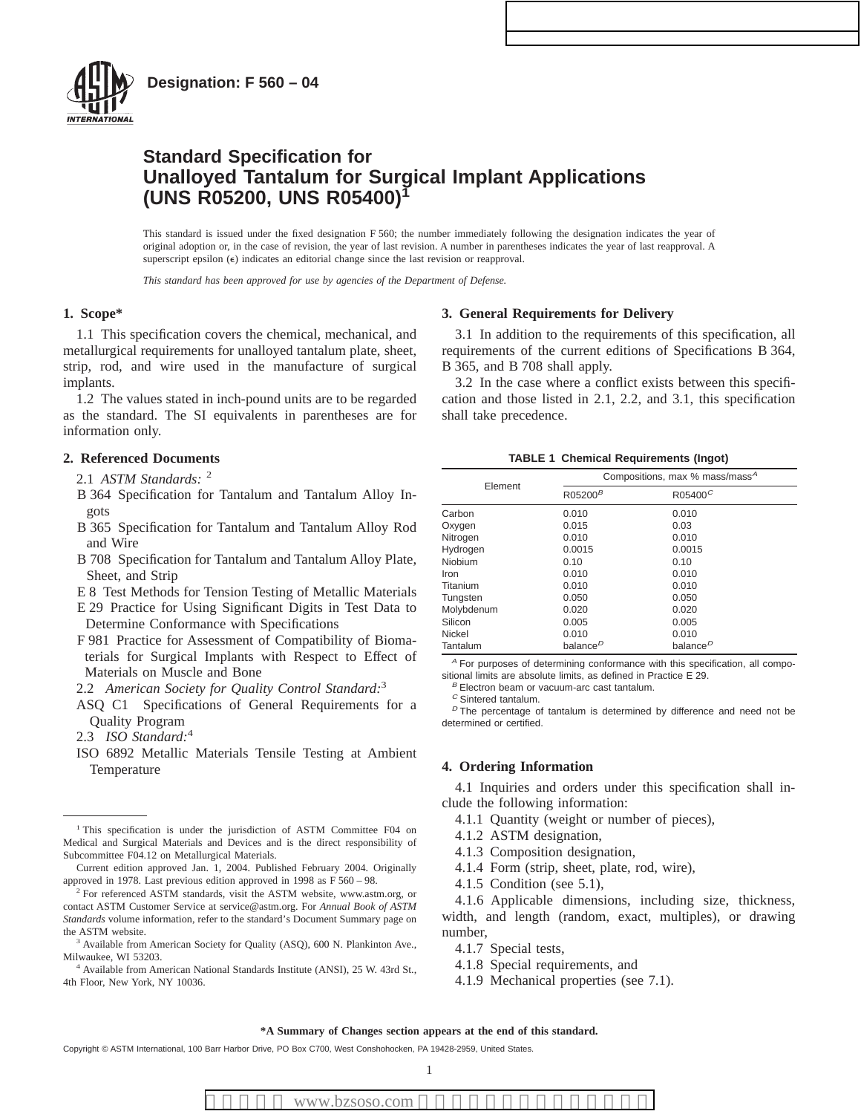

## **Standard Specification for Unalloyed Tantalum for Surgical Implant Applications (UNS R05200, UNS R05400)<sup>1</sup>**

This standard is issued under the fixed designation F 560; the number immediately following the designation indicates the year of original adoption or, in the case of revision, the year of last revision. A number in parentheses indicates the year of last reapproval. A superscript epsilon ( $\epsilon$ ) indicates an editorial change since the last revision or reapproval.

*This standard has been approved for use by agencies of the Department of Defense.*

## **1. Scope\***

1.1 This specification covers the chemical, mechanical, and metallurgical requirements for unalloyed tantalum plate, sheet, strip, rod, and wire used in the manufacture of surgical implants.

1.2 The values stated in inch-pound units are to be regarded as the standard. The SI equivalents in parentheses are for information only.

## **2. Referenced Documents**

- 2.1 *ASTM Standards:* <sup>2</sup>
- B 364 Specification for Tantalum and Tantalum Alloy Ingots
- B 365 Specification for Tantalum and Tantalum Alloy Rod and Wire
- B 708 Specification for Tantalum and Tantalum Alloy Plate, Sheet, and Strip
- E 8 Test Methods for Tension Testing of Metallic Materials
- E 29 Practice for Using Significant Digits in Test Data to Determine Conformance with Specifications
- F 981 Practice for Assessment of Compatibility of Biomaterials for Surgical Implants with Respect to Effect of Materials on Muscle and Bone
- 2.2 *American Society for Quality Control Standard:*<sup>3</sup>
- ASQ C1 Specifications of General Requirements for a Quality Program
- 2.3 *ISO Standard:*<sup>4</sup>
- ISO 6892 Metallic Materials Tensile Testing at Ambient Temperature

#### **3. General Requirements for Delivery**

3.1 In addition to the requirements of this specification, all requirements of the current editions of Specifications B 364, B 365, and B 708 shall apply.

3.2 In the case where a conflict exists between this specification and those listed in 2.1, 2.2, and 3.1, this specification shall take precedence.

| <b>TABLE 1 Chemical Requirements (Ingot)</b> |  |  |  |  |
|----------------------------------------------|--|--|--|--|
|----------------------------------------------|--|--|--|--|

| Element    |                      | Compositions, max % mass/mass <sup>A</sup> |  |  |
|------------|----------------------|--------------------------------------------|--|--|
|            | R05200 <sup>B</sup>  | $R05400^C$                                 |  |  |
| Carbon     | 0.010                | 0.010                                      |  |  |
| Oxygen     | 0.015                | 0.03                                       |  |  |
| Nitrogen   | 0.010                | 0.010                                      |  |  |
| Hydrogen   | 0.0015               | 0.0015                                     |  |  |
| Niobium    | 0.10                 | 0.10                                       |  |  |
| Iron       | 0.010                | 0.010                                      |  |  |
| Titanium   | 0.010                | 0.010                                      |  |  |
| Tungsten   | 0.050                | 0.050                                      |  |  |
| Molybdenum | 0.020                | 0.020                                      |  |  |
| Silicon    | 0.005                | 0.005                                      |  |  |
| Nickel     | 0.010                | 0.010                                      |  |  |
| Tantalum   | balance <sup>D</sup> | balance <sup>D</sup>                       |  |  |

<sup>A</sup> For purposes of determining conformance with this specification, all compositional limits are absolute limits, as defined in Practice E 29.

 $B$  Electron beam or vacuum-arc cast tantalum.

<sup>D</sup> The percentage of tantalum is determined by difference and need not be determined or certified.

## **4. Ordering Information**

4.1 Inquiries and orders under this specification shall include the following information:

- 4.1.1 Quantity (weight or number of pieces),
- 4.1.2 ASTM designation,
- 4.1.3 Composition designation,
- 4.1.4 Form (strip, sheet, plate, rod, wire),
- 4.1.5 Condition (see 5.1),

4.1.6 Applicable dimensions, including size, thickness, width, and length (random, exact, multiples), or drawing number,

- 4.1.7 Special tests,
- 4.1.8 Special requirements, and
- 4.1.9 Mechanical properties (see 7.1).

<sup>&</sup>lt;sup>1</sup> This specification is under the jurisdiction of ASTM Committee F04 on Medical and Surgical Materials and Devices and is the direct responsibility of Subcommittee F04.12 on Metallurgical Materials.

Current edition approved Jan. 1, 2004. Published February 2004. Originally approved in 1978. Last previous edition approved in 1998 as F 560 – 98.

<sup>&</sup>lt;sup>2</sup> For referenced ASTM standards, visit the ASTM website, www.astm.org, or contact ASTM Customer Service at service@astm.org. For *Annual Book of ASTM Standards* volume information, refer to the standard's Document Summary page on the ASTM website.

Available from American Society for Quality (ASO), 600 N. Plankinton Ave., Milwaukee, WI 53203.

<sup>4</sup> Available from American National Standards Institute (ANSI), 25 W. 43rd St., 4th Floor, New York, NY 10036.

 $C$  Sintered tantalum.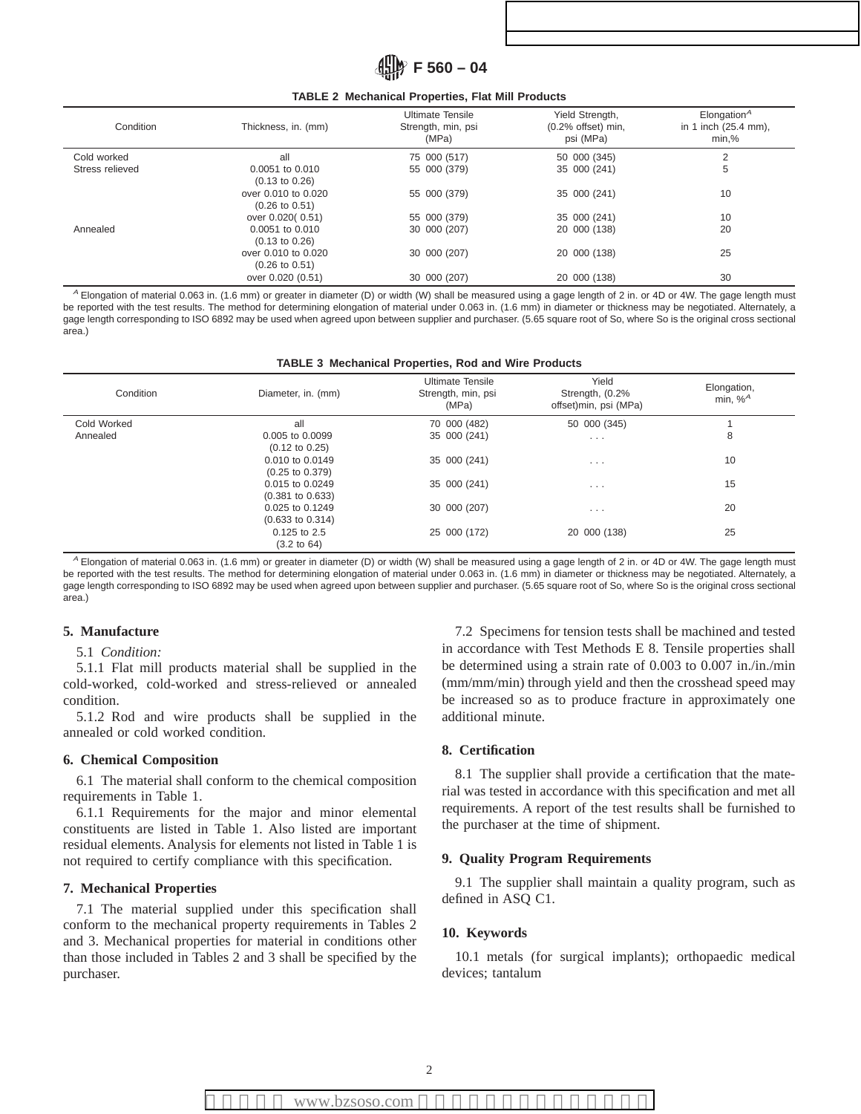# **F 560 – 04**

#### **TABLE 2 Mechanical Properties, Flat Mill Products**

| Condition       | Thickness, in. (mm)                              | <b>Ultimate Tensile</b><br>Strength, min, psi<br>(MPa) | Yield Strength,<br>$(0.2%$ offset) min,<br>psi (MPa) | Elongation $^A$<br>in 1 inch (25.4 mm),<br>min,% |
|-----------------|--------------------------------------------------|--------------------------------------------------------|------------------------------------------------------|--------------------------------------------------|
| Cold worked     | all                                              | 75 000 (517)                                           | 50 000 (345)                                         | $\overline{2}$                                   |
| Stress relieved | $0.0051$ to $0.010$<br>$(0.13 \text{ to } 0.26)$ | 55 000 (379)                                           | 35 000 (241)                                         | 5                                                |
|                 | over 0.010 to 0.020<br>$(0.26 \text{ to } 0.51)$ | 55 000 (379)                                           | 35 000 (241)                                         | 10                                               |
|                 | over 0.020(0.51)                                 | 55 000 (379)                                           | 35 000 (241)                                         | 10                                               |
| Annealed        | 0.0051 to 0.010<br>$(0.13 \text{ to } 0.26)$     | 30 000 (207)                                           | 20 000 (138)                                         | 20                                               |
|                 | over 0.010 to 0.020<br>$(0.26 \text{ to } 0.51)$ | 30 000 (207)                                           | 20 000 (138)                                         | 25                                               |
|                 | over 0.020 (0.51)                                | 30 000 (207)                                           | 20 000 (138)                                         | 30                                               |

<sup>A</sup> Elongation of material 0.063 in. (1.6 mm) or greater in diameter (D) or width (W) shall be measured using a gage length of 2 in. or 4D or 4W. The gage length must be reported with the test results. The method for determining elongation of material under 0.063 in. (1.6 mm) in diameter or thickness may be negotiated. Alternately, a gage length corresponding to ISO 6892 may be used when agreed upon between supplier and purchaser. (5.65 square root of So, where So is the original cross sectional area.)

#### **TABLE 3 Mechanical Properties, Rod and Wire Products**

| Condition   | Diameter, in. (mm)                            | <b>Ultimate Tensile</b><br>Strength, min, psi<br>(MPa) | Yield<br>Strength, (0.2%<br>offset)min, psi (MPa) | Elongation,<br>min, $%^A$ |
|-------------|-----------------------------------------------|--------------------------------------------------------|---------------------------------------------------|---------------------------|
| Cold Worked | all                                           | 70 000 (482)                                           | 50 000 (345)                                      |                           |
| Annealed    | 0.005 to 0.0099<br>$(0.12 \text{ to } 0.25)$  | 35 000 (241)                                           | $\cdots$                                          | 8                         |
|             | 0.010 to 0.0149<br>$(0.25 \text{ to } 0.379)$ | 35 000 (241)                                           | $\cdots$                                          | 10                        |
|             | 0.015 to 0.0249<br>$(0.381$ to $0.633)$       | 35 000 (241)                                           | $\sim$ $\sim$ $\sim$                              | 15                        |
|             | $0.025$ to $0.1249$<br>$(0.633$ to $0.314)$   | 30 000 (207)                                           | $\cdots$                                          | 20                        |
|             | $0.125$ to 2.5<br>$(3.2 \text{ to } 64)$      | 25 000 (172)                                           | 20 000 (138)                                      | 25                        |

<sup>A</sup> Elongation of material 0.063 in. (1.6 mm) or greater in diameter (D) or width (W) shall be measured using a gage length of 2 in. or 4D or 4W. The gage length must be reported with the test results. The method for determining elongation of material under 0.063 in. (1.6 mm) in diameter or thickness may be negotiated. Alternately, a gage length corresponding to ISO 6892 may be used when agreed upon between supplier and purchaser. (5.65 square root of So, where So is the original cross sectional area.)

## **5. Manufacture**

## 5.1 *Condition:*

5.1.1 Flat mill products material shall be supplied in the cold-worked, cold-worked and stress-relieved or annealed condition.

5.1.2 Rod and wire products shall be supplied in the annealed or cold worked condition.

#### **6. Chemical Composition**

6.1 The material shall conform to the chemical composition requirements in Table 1.

6.1.1 Requirements for the major and minor elemental constituents are listed in Table 1. Also listed are important residual elements. Analysis for elements not listed in Table 1 is not required to certify compliance with this specification.

## **7. Mechanical Properties**

7.1 The material supplied under this specification shall conform to the mechanical property requirements in Tables 2 and 3. Mechanical properties for material in conditions other than those included in Tables 2 and 3 shall be specified by the purchaser.

7.2 Specimens for tension tests shall be machined and tested in accordance with Test Methods E 8. Tensile properties shall be determined using a strain rate of 0.003 to 0.007 in./in./min (mm/mm/min) through yield and then the crosshead speed may be increased so as to produce fracture in approximately one additional minute.

## **8. Certification**

8.1 The supplier shall provide a certification that the material was tested in accordance with this specification and met all requirements. A report of the test results shall be furnished to the purchaser at the time of shipment.

## **9. Quality Program Requirements**

9.1 The supplier shall maintain a quality program, such as defined in ASQ C1.

## **10. Keywords**

10.1 metals (for surgical implants); orthopaedic medical devices; tantalum